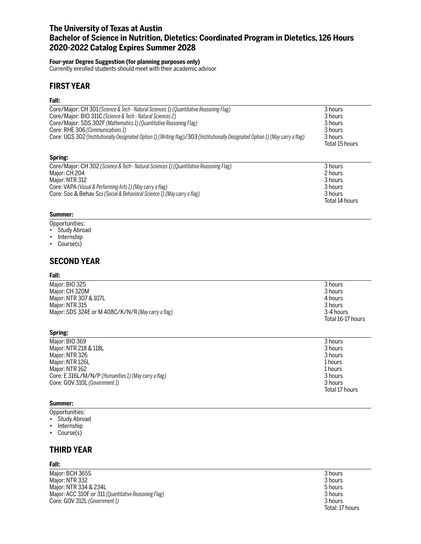# **The University of Texas at Austin Bachelor of Science in Nutrition, Dietetics: Coordinated Program in Dietetics, 126 Hours 2020-2022 Catalog Expires Summer 2028**

### **Four-year Degree Suggestion (for planning purposes only)**

Currently enrolled students should meet with their academic advisor

## **FIRST YEAR**

### **Fall:**

| Core/Major: CH 301 (Science & Tech - Natural Sciences 1) (Quantitative Reasoning Flag)                                          | 3 hours                   |
|---------------------------------------------------------------------------------------------------------------------------------|---------------------------|
| Core/Major: BIO 311C (Science & Tech - Natural Sciences 2)                                                                      | 3 hours                   |
| Core/Major: SDS 302F (Mathematics 1) (Quantitative Reasoning Flag)                                                              | 3 hours                   |
| Core: RHE 306 (Communications 1)                                                                                                | 3 hours                   |
| Core: UGS 302 (Institutionally Designated Option 1) (Writing flag)/303 (Institutionally Designated Option 1) (May carry a flag) | 3 hours<br>Total 15 hours |
| Spring:                                                                                                                         |                           |
| Core/Major: CH 302 (Science & Tech - Natural Sciences 1) (Quantitative Reasoning Flag)                                          | 3 hours                   |

| COLOR Major: CH 3OZ (Science & Tech - Natural Sciences 1) (Quantitative Reasoning Fiag) | 3 riours       |
|-----------------------------------------------------------------------------------------|----------------|
| Maior: CH 204                                                                           | 2 hours        |
| Maior: NTR 312                                                                          | 3 hours        |
| Core: VAPA (Visual & Performing Arts 1) (May carry a flag)                              | 3 hours        |
| Core: Soc & Behav Sci (Social & Behavioral Science 1) (May carry a flag)                | 3 hours        |
|                                                                                         | Total 14 hours |

### **Summer:**

- Opportunities:
- Study Abroad
- Internship
- Course(s)

## **SECOND YEAR**

### **Fall:**

| Major: BIO 325                                     | 3 hours           |
|----------------------------------------------------|-------------------|
| Major: CH 320M                                     | 3 hours           |
| Major: NTR 307 & 107L                              | 4 hours           |
| Major: NTR 315                                     | 3 hours           |
| Major: SDS 324E or M 408C/K/N/R (May carry a flag) | 3-4 hours         |
|                                                    | Total 16-17 hours |

## **Spring:**

| Major: BIO 369                                       | 3 hours        |
|------------------------------------------------------|----------------|
| Major: NTR 218 & 118L                                | 3 hours        |
| Major: NTR 326                                       | 3 hours        |
| Major: NTR 126L                                      | 1 hours        |
| Major: NTR 162                                       | 1 hours        |
| Core: E 316L/M/N/P (Humanities 1) (May carry a flag) | 3 hours        |
| Core: GOV 310L (Government 1)                        | 3 hours        |
|                                                      | Total 17 hours |
|                                                      |                |

#### **Summer:**

Opportunities:

- Study Abroad
- Internship
- Course(s)

# **THIRD YEAR**

## **Fall:**

Major: BCH 365S 3 hours Major: NTR 332 3 hours Major: NTR 334 & 234L<br>
Major: ACC 310F or 311 (Quantitative Reasoning Flag)<br>
3 hours Major: ACC 310F or 311 *(Quantitative Reasoning Flag)* 3 hours Core: GOV 312L (Government 1)

Total: 17 hours